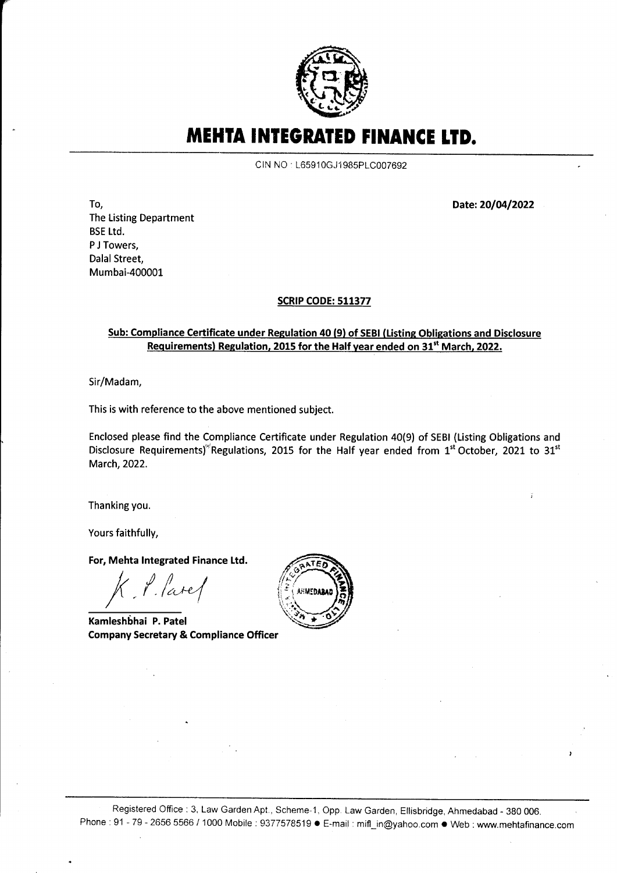

MEHTA INTEGRATED FINANCE LTD.

CIN NO : L65910GJ1985PLC007692

Date: 20/04/2022

To, The Listing Department BSE Ltd. P J Towers, Dalal Street, Mumbai-400001

t"

## SCRIP CODE: 511377

## Sub: Compliance Certificate under Regulation 40 (9) of SEBI (Listing Obligations and Disclosure Requirements) Regulation, 2015 for the Half year ended on 31<sup>st</sup> March, 2022.

Sir/Madam,

This is with reference to the above mentioned subject.

Enclosed please find the Compliance Certificate under Regulation 40(9) of SEBI (Listing Obligations and Disclosure Requirements)<sup>(R</sup>egulations, 2015 for the Half year ended from 1<sup>st</sup> October, 2021 to 31<sup>st</sup> March,2022.

Thanking you.

Yours faithfully,

For, Mehta lntegrated Finance Ltd.

 $K$  ,  $\ell$  , lare  $\ell$ 

Kamleshbhai P. Patel Company Secretary & Compliance Officer